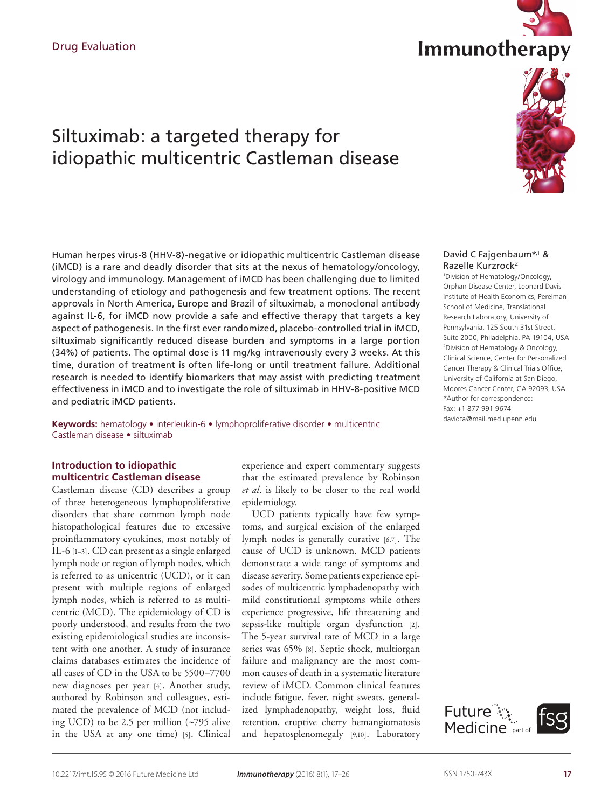# Siltuximab: a targeted therapy for idiopathic multicentric Castleman disease

Human herpes virus-8 (HHV-8)-negative or idiopathic multicentric Castleman disease (iMCD) is a rare and deadly disorder that sits at the nexus of hematology/oncology, virology and immunology. Management of iMCD has been challenging due to limited understanding of etiology and pathogenesis and few treatment options. The recent approvals in North America, Europe and Brazil of siltuximab, a monoclonal antibody against IL-6, for iMCD now provide a safe and effective therapy that targets a key aspect of pathogenesis. In the first ever randomized, placebo-controlled trial in iMCD, siltuximab significantly reduced disease burden and symptoms in a large portion (34%) of patients. The optimal dose is 11 mg/kg intravenously every 3 weeks. At this time, duration of treatment is often life-long or until treatment failure. Additional research is needed to identify biomarkers that may assist with predicting treatment effectiveness in iMCD and to investigate the role of siltuximab in HHV-8-positive MCD and pediatric iMCD patients.

**Keywords:** hematology • interleukin-6 • lymphoproliferative disorder • multicentric Castleman disease • siltuximab

# **Introduction to idiopathic multicentric Castleman disease**

Castleman disease (CD) describes a group of three heterogeneous lymphoproliferative disorders that share common lymph node histopathological features due to excessive proinflammatory cytokines, most notably of IL-6 [1–3]. CD can present as a single enlarged lymph node or region of lymph nodes, which is referred to as unicentric (UCD), or it can present with multiple regions of enlarged lymph nodes, which is referred to as multicentric (MCD). The epidemiology of CD is poorly understood, and results from the two existing epidemiological studies are inconsistent with one another. A study of insurance claims databases estimates the incidence of all cases of CD in the USA to be 5500–7700 new diagnoses per year [4]. Another study, authored by Robinson and colleagues, estimated the prevalence of MCD (not including UCD) to be 2.5 per million (∼795 alive in the USA at any one time) [5]. Clinical

experience and expert commentary suggests that the estimated prevalence by Robinson *et al*. is likely to be closer to the real world epidemiology.

UCD patients typically have few symptoms, and surgical excision of the enlarged lymph nodes is generally curative [6,7]. The cause of UCD is unknown. MCD patients demonstrate a wide range of symptoms and disease severity. Some patients experience episodes of multicentric lymphadenopathy with mild constitutional symptoms while others experience progressive, life threatening and sepsis-like multiple organ dysfunction [2]. The 5-year survival rate of MCD in a large series was 65% [8]. Septic shock, multiorgan failure and malignancy are the most common causes of death in a systematic literature review of iMCD. Common clinical features include fatigue, fever, night sweats, generalized lymphadenopathy, weight loss, fluid retention, eruptive cherry hemangiomatosis and hepatosplenomegaly [9,10]. Laboratory

### David C Fajgenbaum<sup>\*,1</sup> & Razelle Kurzrock2

1 Division of Hematology/Oncology, Orphan Disease Center, Leonard Davis Institute of Health Economics, Perelman School of Medicine, Translational Research Laboratory, University of Pennsylvania, 125 South 31st Street, Suite 2000, Philadelphia, PA 19104, USA 2 Division of Hematology & Oncology, Clinical Science, Center for Personalized Cancer Therapy & Clinical Trials Office, University of California at San Diego, Moores Cancer Center, CA 92093, USA \*Author for correspondence: Fax: +1 877 991 9674 davidfa@mail.med.upenn.edu





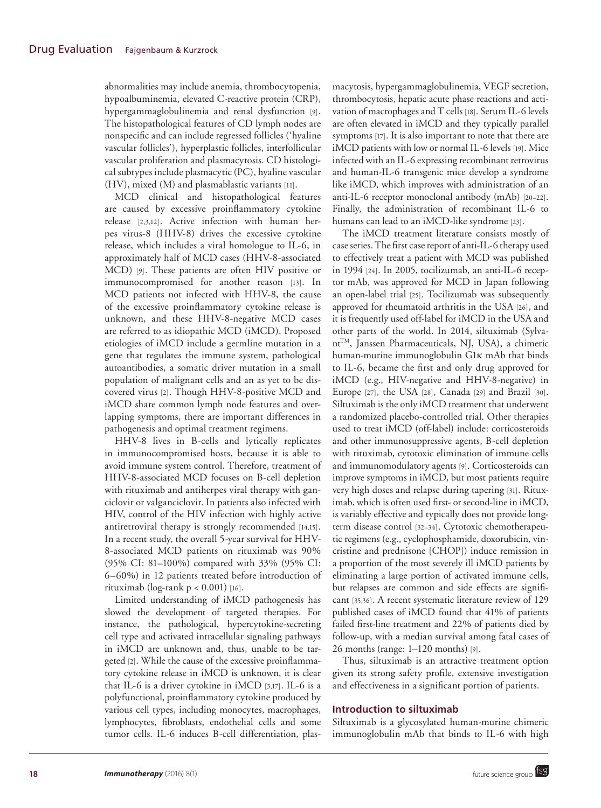abnormalities may include anemia, thrombocytopenia, hypoalbuminemia, elevated C-reactive protein (CRP), hypergammaglobulinemia and renal dysfunction [9]. The histopathological features of CD lymph nodes are nonspecific and can include regressed follicles ('hyaline vascular follicles'), hyperplastic follicles, interfollicular vascular proliferation and plasmacytosis. CD histological subtypes include plasmacytic (PC), hyaline vascular (HV), mixed (M) and plasmablastic variants [11].

MCD clinical and histopathological features are caused by excessive proinflammatory cytokine release [2,3,12]. Active infection with human herpes virus-8 (HHV-8) drives the excessive cytokine release, which includes a viral homologue to IL-6, in approximately half of MCD cases (HHV-8-associated MCD) [9]. These patients are often HIV positive or immunocompromised for another reason [13]. In MCD patients not infected with HHV-8, the cause of the excessive proinflammatory cytokine release is unknown, and these HHV-8-negative MCD cases are referred to as idiopathic MCD (iMCD). Proposed etiologies of iMCD include a germline mutation in a gene that regulates the immune system, pathological autoantibodies, a somatic driver mutation in a small population of malignant cells and an as yet to be discovered virus [2]. Though HHV-8-positive MCD and iMCD share common lymph node features and overlapping symptoms, there are important differences in pathogenesis and optimal treatment regimens.

HHV-8 lives in B-cells and lytically replicates in immunocompromised hosts, because it is able to avoid immune system control. Therefore, treatment of HHV-8-associated MCD focuses on B-cell depletion with rituximab and antiherpes viral therapy with ganciclovir or valganciclovir. In patients also infected with HIV, control of the HIV infection with highly active antiretroviral therapy is strongly recommended [14,15]. In a recent study, the overall 5-year survival for HHV-8-associated MCD patients on rituximab was 90% (95% CI: 81–100%) compared with 33% (95% CI: 6–60%) in 12 patients treated before introduction of rituximab (log-rank  $p < 0.001$ ) [16].

Limited understanding of iMCD pathogenesis has slowed the development of targeted therapies. For instance, the pathological, hypercytokine-secreting cell type and activated intracellular signaling pathways in iMCD are unknown and, thus, unable to be targeted [2]. While the cause of the excessive proinflammatory cytokine release in iMCD is unknown, it is clear that IL-6 is a driver cytokine in iMCD [3,17]. IL-6 is a polyfunctional, proinflammatory cytokine produced by various cell types, including monocytes, macrophages, lymphocytes, fibroblasts, endothelial cells and some tumor cells. IL-6 induces B-cell differentiation, plasmacytosis, hypergammaglobulinemia, VEGF secretion, thrombocytosis, hepatic acute phase reactions and activation of macrophages and T cells [18]. Serum IL-6 levels are often elevated in iMCD and they typically parallel symptoms [17]. It is also important to note that there are iMCD patients with low or normal IL-6 levels [19]. Mice infected with an IL-6 expressing recombinant retrovirus and human-IL-6 transgenic mice develop a syndrome like iMCD, which improves with administration of an anti-IL-6 receptor monoclonal antibody (mAb) [20–22]. Finally, the administration of recombinant IL-6 to humans can lead to an iMCD-like syndrome [23].

The iMCD treatment literature consists mostly of case series. The first case report of anti-IL-6 therapy used to effectively treat a patient with MCD was published in 1994 [24]. In 2005, tocilizumab, an anti-IL-6 receptor mAb, was approved for MCD in Japan following an open-label trial [25]. Tocilizumab was subsequently approved for rheumatoid arthritis in the USA [26], and it is frequently used off-label for iMCD in the USA and other parts of the world. In 2014, siltuximab (Sylvant<sup>TM</sup>, Janssen Pharmaceuticals, NJ, USA), a chimeric human-murine immunoglobulin G1κ mAb that binds to IL-6, became the first and only drug approved for iMCD (e.g., HIV-negative and HHV-8-negative) in Europe [27], the USA [28], Canada [29] and Brazil [30]. Siltuximab is the only iMCD treatment that underwent a randomized placebo-controlled trial. Other therapies used to treat iMCD (off-label) include: corticosteroids and other immunosuppressive agents, B-cell depletion with rituximab, cytotoxic elimination of immune cells and immunomodulatory agents [9]. Corticosteroids can improve symptoms in iMCD, but most patients require very high doses and relapse during tapering [31]. Rituximab, which is often used first- or second-line in iMCD, is variably effective and typically does not provide longterm disease control [32–34]. Cytotoxic chemotherapeutic regimens (e.g., cyclophosphamide, doxorubicin, vincristine and prednisone [CHOP]) induce remission in a proportion of the most severely ill iMCD patients by eliminating a large portion of activated immune cells, but relapses are common and side effects are significant [35,36]. A recent systematic literature review of 129 published cases of iMCD found that 41% of patients failed first-line treatment and 22% of patients died by follow-up, with a median survival among fatal cases of 26 months (range: 1–120 months) [9].

Thus, siltuximab is an attractive treatment option given its strong safety profile, extensive investigation and effectiveness in a significant portion of patients.

# **Introduction to siltuximab**

Siltuximab is a glycosylated human-murine chimeric immunoglobulin mAb that binds to IL-6 with high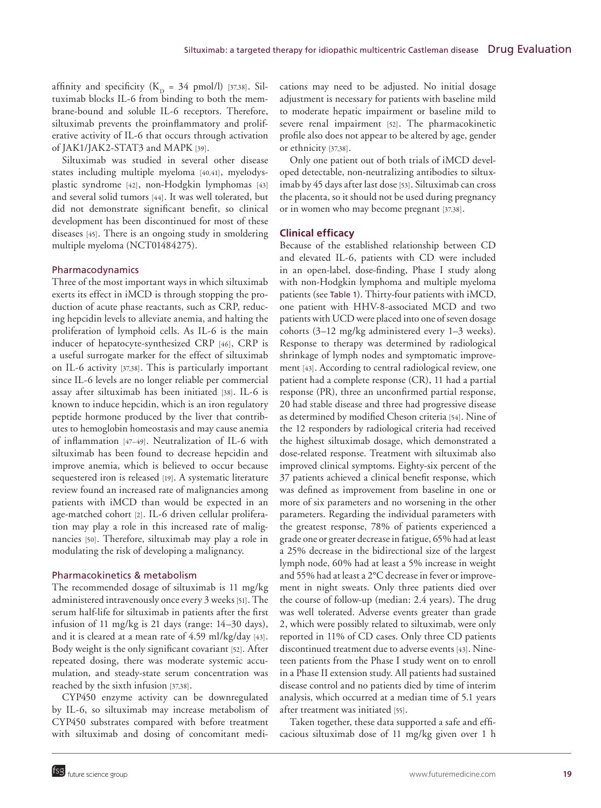affinity and specificity ( $K_D = 34$  pmol/l) [37,38]. Siltuximab blocks IL-6 from binding to both the membrane-bound and soluble IL-6 receptors. Therefore, siltuximab prevents the proinflammatory and proliferative activity of IL-6 that occurs through activation of JAK1/JAK2-STAT3 and MAPK [39].

Siltuximab was studied in several other disease states including multiple myeloma [40,41], myelodysplastic syndrome [42], non-Hodgkin lymphomas [43] and several solid tumors [44]. It was well tolerated, but did not demonstrate significant benefit, so clinical development has been discontinued for most of these diseases [45]. There is an ongoing study in smoldering multiple myeloma (NCT01484275).

## Pharmacodynamics

Three of the most important ways in which siltuximab exerts its effect in iMCD is through stopping the production of acute phase reactants, such as CRP, reducing hepcidin levels to alleviate anemia, and halting the proliferation of lymphoid cells. As IL-6 is the main inducer of hepatocyte-synthesized CRP [46], CRP is a useful surrogate marker for the effect of siltuximab on IL-6 activity [37,38]. This is particularly important since IL-6 levels are no longer reliable per commercial assay after siltuximab has been initiated [38]. IL-6 is known to induce hepcidin, which is an iron regulatory peptide hormone produced by the liver that contributes to hemoglobin homeostasis and may cause anemia of inflammation [47–49]. Neutralization of IL-6 with siltuximab has been found to decrease hepcidin and improve anemia, which is believed to occur because sequestered iron is released [19]. A systematic literature review found an increased rate of malignancies among patients with iMCD than would be expected in an age-matched cohort [2]. IL-6 driven cellular proliferation may play a role in this increased rate of malignancies [50]. Therefore, siltuximab may play a role in modulating the risk of developing a malignancy.

## Pharmacokinetics & metabolism

The recommended dosage of siltuximab is 11 mg/kg administered intravenously once every 3 weeks [51]. The serum half-life for siltuximab in patients after the first infusion of 11 mg/kg is 21 days (range: 14–30 days), and it is cleared at a mean rate of 4.59 ml/kg/day [43]. Body weight is the only significant covariant [52]. After repeated dosing, there was moderate systemic accumulation, and steady-state serum concentration was reached by the sixth infusion [37,38].

CYP450 enzyme activity can be downregulated by IL-6, so siltuximab may increase metabolism of CYP450 substrates compared with before treatment with siltuximab and dosing of concomitant medications may need to be adjusted. No initial dosage adjustment is necessary for patients with baseline mild to moderate hepatic impairment or baseline mild to severe renal impairment [52]. The pharmacokinetic profile also does not appear to be altered by age, gender or ethnicity [37,38].

Only one patient out of both trials of iMCD developed detectable, non-neutralizing antibodies to siltuximab by 45 days after last dose [53]. Siltuximab can cross the placenta, so it should not be used during pregnancy or in women who may become pregnant [37,38].

## **Clinical efficacy**

Because of the established relationship between CD and elevated IL-6, patients with CD were included in an open-label, dose-finding, Phase I study along with non-Hodgkin lymphoma and multiple myeloma patients (see Table 1). Thirty-four patients with iMCD, one patient with HHV-8-associated MCD and two patients with UCD were placed into one of seven dosage cohorts (3–12 mg/kg administered every 1–3 weeks). Response to therapy was determined by radiological shrinkage of lymph nodes and symptomatic improvement [43]. According to central radiological review, one patient had a complete response (CR), 11 had a partial response (PR), three an unconfirmed partial response, 20 had stable disease and three had progressive disease as determined by modified Cheson criteria [54]. Nine of the 12 responders by radiological criteria had received the highest siltuximab dosage, which demonstrated a dose-related response. Treatment with siltuximab also improved clinical symptoms. Eighty-six percent of the 37 patients achieved a clinical benefit response, which was defined as improvement from baseline in one or more of six parameters and no worsening in the other parameters. Regarding the individual parameters with the greatest response, 78% of patients experienced a grade one or greater decrease in fatigue, 65% had at least a 25% decrease in the bidirectional size of the largest lymph node, 60% had at least a 5% increase in weight and 55% had at least a 2°C decrease in fever or improvement in night sweats. Only three patients died over the course of follow-up (median: 2.4 years). The drug was well tolerated. Adverse events greater than grade 2, which were possibly related to siltuximab, were only reported in 11% of CD cases. Only three CD patients discontinued treatment due to adverse events [43]. Nineteen patients from the Phase I study went on to enroll in a Phase II extension study. All patients had sustained disease control and no patients died by time of interim analysis, which occurred at a median time of 5.1 years after treatment was initiated [55].

Taken together, these data supported a safe and efficacious siltuximab dose of 11 mg/kg given over 1 h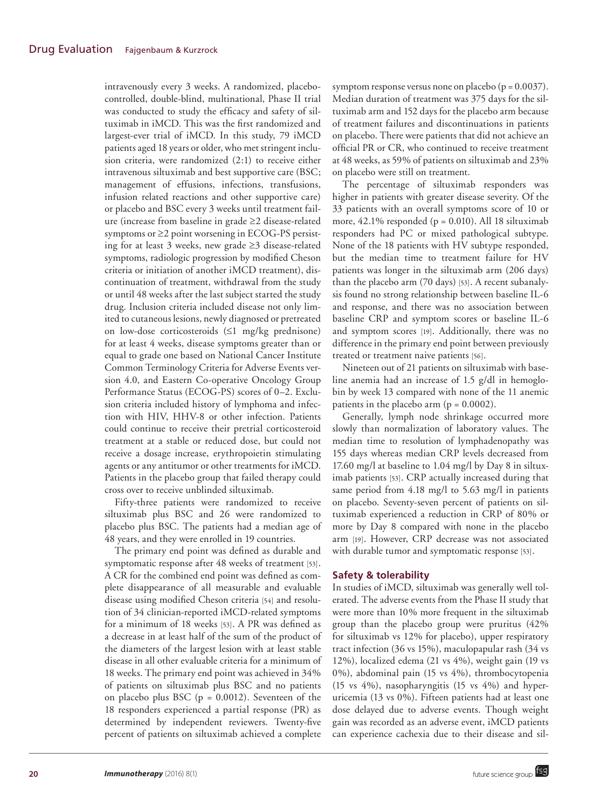intravenously every 3 weeks. A randomized, placebocontrolled, double-blind, multinational, Phase II trial was conducted to study the efficacy and safety of siltuximab in iMCD. This was the first randomized and largest-ever trial of iMCD. In this study, 79 iMCD patients aged 18 years or older, who met stringent inclusion criteria, were randomized (2:1) to receive either intravenous siltuximab and best supportive care (BSC; management of effusions, infections, transfusions, infusion related reactions and other supportive care) or placebo and BSC every 3 weeks until treatment failure (increase from baseline in grade ≥2 disease-related symptoms or ≥2 point worsening in ECOG-PS persisting for at least 3 weeks, new grade ≥3 disease-related symptoms, radiologic progression by modified Cheson criteria or initiation of another iMCD treatment), discontinuation of treatment, withdrawal from the study or until 48 weeks after the last subject started the study drug. Inclusion criteria included disease not only limited to cutaneous lesions, newly diagnosed or pretreated on low-dose corticosteroids (≤1 mg/kg prednisone) for at least 4 weeks, disease symptoms greater than or equal to grade one based on National Cancer Institute Common Terminology Criteria for Adverse Events version 4.0, and Eastern Co-operative Oncology Group Performance Status (ECOG-PS) scores of 0–2. Exclusion criteria included history of lymphoma and infection with HIV, HHV-8 or other infection. Patients could continue to receive their pretrial corticosteroid treatment at a stable or reduced dose, but could not receive a dosage increase, erythropoietin stimulating agents or any antitumor or other treatments for iMCD. Patients in the placebo group that failed therapy could cross over to receive unblinded siltuximab.

Fifty-three patients were randomized to receive siltuximab plus BSC and 26 were randomized to placebo plus BSC. The patients had a median age of 48 years, and they were enrolled in 19 countries.

The primary end point was defined as durable and symptomatic response after 48 weeks of treatment [53]. A CR for the combined end point was defined as complete disappearance of all measurable and evaluable disease using modified Cheson criteria [54] and resolution of 34 clinician-reported iMCD-related symptoms for a minimum of 18 weeks [53]. A PR was defined as a decrease in at least half of the sum of the product of the diameters of the largest lesion with at least stable disease in all other evaluable criteria for a minimum of 18 weeks. The primary end point was achieved in 34% of patients on siltuximab plus BSC and no patients on placebo plus BSC ( $p = 0.0012$ ). Seventeen of the 18 responders experienced a partial response (PR) as determined by independent reviewers. Twenty-five percent of patients on siltuximab achieved a complete

symptom response versus none on placebo ( $p = 0.0037$ ). Median duration of treatment was 375 days for the siltuximab arm and 152 days for the placebo arm because of treatment failures and discontinuations in patients on placebo. There were patients that did not achieve an official PR or CR, who continued to receive treatment at 48 weeks, as 59% of patients on siltuximab and 23% on placebo were still on treatment.

The percentage of siltuximab responders was higher in patients with greater disease severity. Of the 33 patients with an overall symptoms score of 10 or more, 42.1% responded (p = 0.010). All 18 siltuximab responders had PC or mixed pathological subtype. None of the 18 patients with HV subtype responded, but the median time to treatment failure for HV patients was longer in the siltuximab arm (206 days) than the placebo arm (70 days) [53]. A recent subanalysis found no strong relationship between baseline IL-6 and response, and there was no association between baseline CRP and symptom scores or baseline IL-6 and symptom scores [19]. Additionally, there was no difference in the primary end point between previously treated or treatment naive patients [56].

Nineteen out of 21 patients on siltuximab with baseline anemia had an increase of 1.5 g/dl in hemoglobin by week 13 compared with none of the 11 anemic patients in the placebo arm  $(p = 0.0002)$ .

Generally, lymph node shrinkage occurred more slowly than normalization of laboratory values. The median time to resolution of lymphadenopathy was 155 days whereas median CRP levels decreased from 17.60 mg/l at baseline to 1.04 mg/l by Day 8 in siltuximab patients [53]. CRP actually increased during that same period from 4.18 mg/l to 5.63 mg/l in patients on placebo. Seventy-seven percent of patients on siltuximab experienced a reduction in CRP of 80% or more by Day 8 compared with none in the placebo arm [19]. However, CRP decrease was not associated with durable tumor and symptomatic response [53].

## **Safety & tolerability**

In studies of iMCD, siltuximab was generally well tolerated. The adverse events from the Phase II study that were more than 10% more frequent in the siltuximab group than the placebo group were pruritus (42% for siltuximab vs 12% for placebo), upper respiratory tract infection (36 vs 15%), maculopapular rash (34 vs 12%), localized edema (21 vs 4%), weight gain (19 vs 0%), abdominal pain (15 vs 4%), thrombocytopenia (15 vs 4%), nasopharyngitis (15 vs 4%) and hyperuricemia (13 vs 0%). Fifteen patients had at least one dose delayed due to adverse events. Though weight gain was recorded as an adverse event, iMCD patients can experience cachexia due to their disease and sil-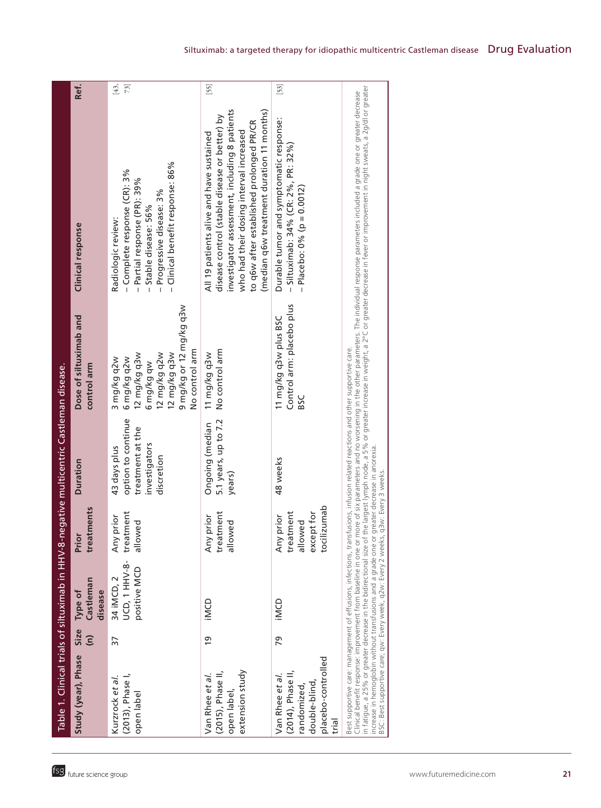|                                                                                                                                                                                                                                                                    |                              |                                             |                                                                     | Table 1. Clinical trials of siltuximab in HHV-8-negative multicentric Castleman disease. |                                                                                                                                       |                                                                                                                                                                                                                                                                                                                                                                                                                                     |             |
|--------------------------------------------------------------------------------------------------------------------------------------------------------------------------------------------------------------------------------------------------------------------|------------------------------|---------------------------------------------|---------------------------------------------------------------------|------------------------------------------------------------------------------------------|---------------------------------------------------------------------------------------------------------------------------------------|-------------------------------------------------------------------------------------------------------------------------------------------------------------------------------------------------------------------------------------------------------------------------------------------------------------------------------------------------------------------------------------------------------------------------------------|-------------|
| Study (year), Phase                                                                                                                                                                                                                                                | Size<br>$\widehat{\epsilon}$ | Castleman<br>disease<br>Type of             | treatments<br>Prior                                                 | <b>Duration</b>                                                                          | Dose of siltuximab and<br>control arm                                                                                                 | Clinical response                                                                                                                                                                                                                                                                                                                                                                                                                   | Ref.        |
| (2013), Phase I,<br>Kurzrock et al.<br>open label                                                                                                                                                                                                                  | 37                           | UCD, 1 HHV-8-<br>positive MCD<br>34 iMCD, 2 | treatment<br>prior<br>allowed<br>Any                                | option to continue<br>treatment at the<br>investigators<br>43 days plus<br>discretion    | 9 mg/kg or 12 mg/kg q3w<br>No control arm<br>12 mg/kg q3w<br>12 mg/kg q3w<br>12 mg/kg q2w<br>6 mg/kg q2w<br>3 mg/kg q2w<br>6 mg/kg qw | - Clinical benefit response: 86%<br>- Complete response (CR): 3%<br>- Partial response (PR): 39%<br>- Progressive disease: 3%<br>- Stable disease: 56%<br>Radiologic review:                                                                                                                                                                                                                                                        | [43,<br>73] |
| extension study<br>(2015), Phase II,<br>Van Rhee et al.<br>open label,                                                                                                                                                                                             | <u>o</u>                     | iMCD                                        | treatment<br>prior<br>allowed<br>Any                                | 5.1 years, up to 7.2<br>Ongoing (median<br>years)                                        | No control arm<br>11 mg/kg q3w                                                                                                        | investigator assessment, including 8 patients<br>(median q6w treatment duration 11 months)<br>disease control (stable disease or better) by<br>to q6w after established prolonged PR/CR<br>who had their dosing interval increased<br>All 19 patients alive and have sustained                                                                                                                                                      | $[55]$      |
| placebo-controlled<br>(2014), Phase II,<br>Van Rhee et al.<br>double-blind<br>randomized,<br>trial                                                                                                                                                                 | 79                           | iMCD                                        | lizumab<br>treatment<br>except for<br>Any prior<br>allowed<br>tocil | 48 weeks                                                                                 | Control arm: placebo plus<br>11 mg/kg q3w plus BSC<br>9SC                                                                             | Durable tumor and symptomatic response:<br>- Siltuximab: 34% (CR: 2%, PR: 32%)<br>Placebo: 0% (p = 0.0012)                                                                                                                                                                                                                                                                                                                          | $[53]$      |
| Best supportive care: management of effusions, infections, transfusions, infusion related reactions and other supportive care.<br>increase in hemoglobin without transfusions and a grade one or<br>BSC: Best supportive care; qw: Every week, q2w: Every 2 weeks, |                              |                                             | a3w: Every 3 weeks.                                                 | greater decrease in anorexia.                                                            |                                                                                                                                       | in fatigue, a 25% or greater decrease in the bidirectional size of the largest lymph node, a 5% or greater increase in weight, a 2°C or greater decrease in fever or improvement in night sweats, a 2g/dl or greater<br>Clinical benefit response: improvement from baseline in one or more of six parameters and no worsening in the other parameters. The individual response parameters included a grade one or greater decrease |             |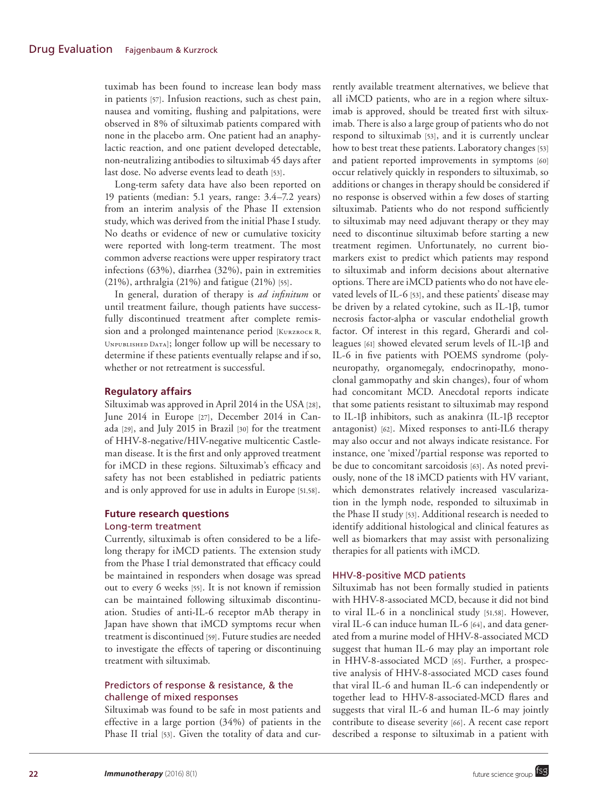tuximab has been found to increase lean body mass in patients [57]. Infusion reactions, such as chest pain, nausea and vomiting, flushing and palpitations, were observed in 8% of siltuximab patients compared with none in the placebo arm. One patient had an anaphylactic reaction, and one patient developed detectable, non-neutralizing antibodies to siltuximab 45 days after last dose. No adverse events lead to death [53].

Long-term safety data have also been reported on 19 patients (median: 5.1 years, range: 3.4–7.2 years) from an interim analysis of the Phase II extension study, which was derived from the initial Phase I study. No deaths or evidence of new or cumulative toxicity were reported with long-term treatment. The most common adverse reactions were upper respiratory tract infections (63%), diarrhea (32%), pain in extremities (21%), arthralgia (21%) and fatigue (21%) [55].

In general, duration of therapy is *ad infinitum* or until treatment failure, though patients have successfully discontinued treatment after complete remission and a prolonged maintenance period [KURZROCK R, Unpublished Data]; longer follow up will be necessary to determine if these patients eventually relapse and if so, whether or not retreatment is successful.

# **Regulatory affairs**

Siltuximab was approved in April 2014 in the USA [28], June 2014 in Europe [27], December 2014 in Canada [29], and July 2015 in Brazil [30] for the treatment of HHV-8-negative/HIV-negative multicentic Castleman disease. It is the first and only approved treatment for iMCD in these regions. Siltuximab's efficacy and safety has not been established in pediatric patients and is only approved for use in adults in Europe [51,58].

# **Future research questions** Long-term treatment

Currently, siltuximab is often considered to be a lifelong therapy for iMCD patients. The extension study from the Phase I trial demonstrated that efficacy could be maintained in responders when dosage was spread out to every 6 weeks [55]. It is not known if remission can be maintained following siltuximab discontinuation. Studies of anti-IL-6 receptor mAb therapy in Japan have shown that iMCD symptoms recur when treatment is discontinued [59]. Future studies are needed to investigate the effects of tapering or discontinuing treatment with siltuximab.

# Predictors of response & resistance, & the challenge of mixed responses

Siltuximab was found to be safe in most patients and effective in a large portion (34%) of patients in the Phase II trial [53]. Given the totality of data and currently available treatment alternatives, we believe that all iMCD patients, who are in a region where siltuximab is approved, should be treated first with siltuximab. There is also a large group of patients who do not respond to siltuximab [53], and it is currently unclear how to best treat these patients. Laboratory changes [53] and patient reported improvements in symptoms [60] occur relatively quickly in responders to siltuximab, so additions or changes in therapy should be considered if no response is observed within a few doses of starting siltuximab. Patients who do not respond sufficiently to siltuximab may need adjuvant therapy or they may need to discontinue siltuximab before starting a new treatment regimen. Unfortunately, no current biomarkers exist to predict which patients may respond to siltuximab and inform decisions about alternative options. There are iMCD patients who do not have elevated levels of IL-6 [53], and these patients' disease may be driven by a related cytokine, such as IL-1β, tumor necrosis factor-alpha or vascular endothelial growth factor. Of interest in this regard, Gherardi and colleagues [61] showed elevated serum levels of IL-1β and IL-6 in five patients with POEMS syndrome (polyneuropathy, organomegaly, endocrinopathy, monoclonal gammopathy and skin changes), four of whom had concomitant MCD. Anecdotal reports indicate that some patients resistant to siltuximab may respond to IL-1β inhibitors, such as anakinra (IL-1β receptor antagonist) [62]. Mixed responses to anti-IL6 therapy may also occur and not always indicate resistance. For instance, one 'mixed'/partial response was reported to be due to concomitant sarcoidosis [63]. As noted previously, none of the 18 iMCD patients with HV variant, which demonstrates relatively increased vascularization in the lymph node, responded to siltuximab in the Phase II study [53]. Additional research is needed to identify additional histological and clinical features as well as biomarkers that may assist with personalizing therapies for all patients with iMCD.

## HHV-8-positive MCD patients

Siltuximab has not been formally studied in patients with HHV-8-associated MCD, because it did not bind to viral IL-6 in a nonclinical study [51,58]. However, viral IL-6 can induce human IL-6 [64], and data generated from a murine model of HHV-8-associated MCD suggest that human IL-6 may play an important role in HHV-8-associated MCD [65]. Further, a prospective analysis of HHV-8-associated MCD cases found that viral IL-6 and human IL-6 can independently or together lead to HHV-8-associated-MCD flares and suggests that viral IL-6 and human IL-6 may jointly contribute to disease severity [66]. A recent case report described a response to siltuximab in a patient with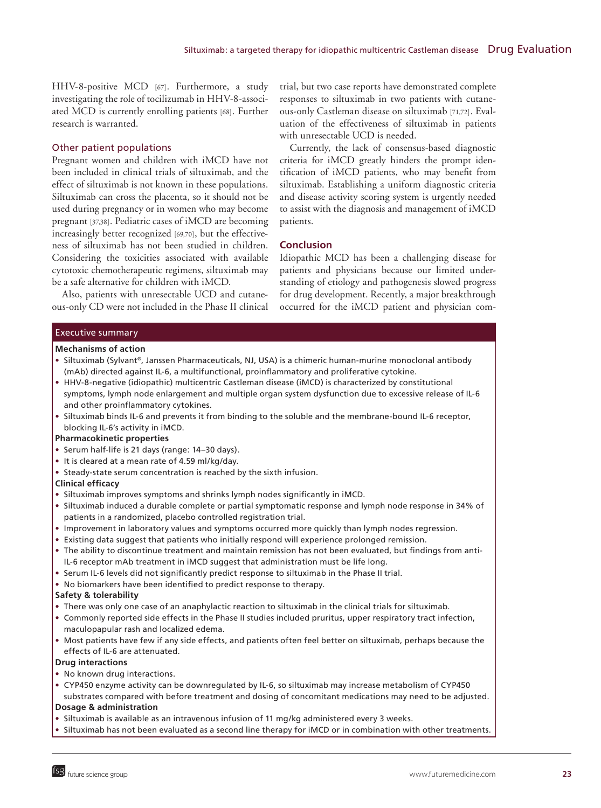HHV-8-positive MCD [67]. Furthermore, a study investigating the role of tocilizumab in HHV-8-associated MCD is currently enrolling patients [68]. Further research is warranted.

## Other patient populations

Pregnant women and children with iMCD have not been included in clinical trials of siltuximab, and the effect of siltuximab is not known in these populations. Siltuximab can cross the placenta, so it should not be used during pregnancy or in women who may become pregnant [37,38]. Pediatric cases of iMCD are becoming increasingly better recognized [69,70], but the effectiveness of siltuximab has not been studied in children. Considering the toxicities associated with available cytotoxic chemotherapeutic regimens, siltuximab may be a safe alternative for children with iMCD.

Also, patients with unresectable UCD and cutaneous-only CD were not included in the Phase II clinical trial, but two case reports have demonstrated complete responses to siltuximab in two patients with cutaneous-only Castleman disease on siltuximab [71,72]. Evaluation of the effectiveness of siltuximab in patients with unresectable UCD is needed.

Currently, the lack of consensus-based diagnostic criteria for iMCD greatly hinders the prompt identification of iMCD patients, who may benefit from siltuximab. Establishing a uniform diagnostic criteria and disease activity scoring system is urgently needed to assist with the diagnosis and management of iMCD patients.

# **Conclusion**

Idiopathic MCD has been a challenging disease for patients and physicians because our limited understanding of etiology and pathogenesis slowed progress for drug development. Recently, a major breakthrough occurred for the iMCD patient and physician com-

## Executive summary

## **Mechanisms of action**

- • Siltuximab (Sylvant®, Janssen Pharmaceuticals, NJ, USA) is a chimeric human-murine monoclonal antibody (mAb) directed against IL-6, a multifunctional, proinflammatory and proliferative cytokine.
- • HHV-8-negative (idiopathic) multicentric Castleman disease (iMCD) is characterized by constitutional symptoms, lymph node enlargement and multiple organ system dysfunction due to excessive release of IL-6 and other proinflammatory cytokines.
- • Siltuximab binds IL-6 and prevents it from binding to the soluble and the membrane-bound IL-6 receptor, blocking IL-6's activity in iMCD.

## **Pharmacokinetic properties**

- Serum half-life is 21 days (range: 14-30 days).
- It is cleared at a mean rate of 4.59 ml/kg/day.
- Steady-state serum concentration is reached by the sixth infusion.

### **Clinical efficacy**

- • Siltuximab improves symptoms and shrinks lymph nodes significantly in iMCD.
- • Siltuximab induced a durable complete or partial symptomatic response and lymph node response in 34% of patients in a randomized, placebo controlled registration trial.
- • Improvement in laboratory values and symptoms occurred more quickly than lymph nodes regression.
- • Existing data suggest that patients who initially respond will experience prolonged remission.
- • The ability to discontinue treatment and maintain remission has not been evaluated, but findings from anti-IL-6 receptor mAb treatment in iMCD suggest that administration must be life long.
- • Serum IL-6 levels did not significantly predict response to siltuximab in the Phase II trial.
- No biomarkers have been identified to predict response to therapy.

## **Safety & tolerability**

- • There was only one case of an anaphylactic reaction to siltuximab in the clinical trials for siltuximab.
- • Commonly reported side effects in the Phase II studies included pruritus, upper respiratory tract infection, maculopapular rash and localized edema.
- • Most patients have few if any side effects, and patients often feel better on siltuximab, perhaps because the effects of IL-6 are attenuated.

## **Drug interactions**

- No known drug interactions.
- • CYP450 enzyme activity can be downregulated by IL-6, so siltuximab may increase metabolism of CYP450 substrates compared with before treatment and dosing of concomitant medications may need to be adjusted.

### **Dosage & administration**

- • Siltuximab is available as an intravenous infusion of 11 mg/kg administered every 3 weeks.
- Siltuximab has not been evaluated as a second line therapy for iMCD or in combination with other treatments.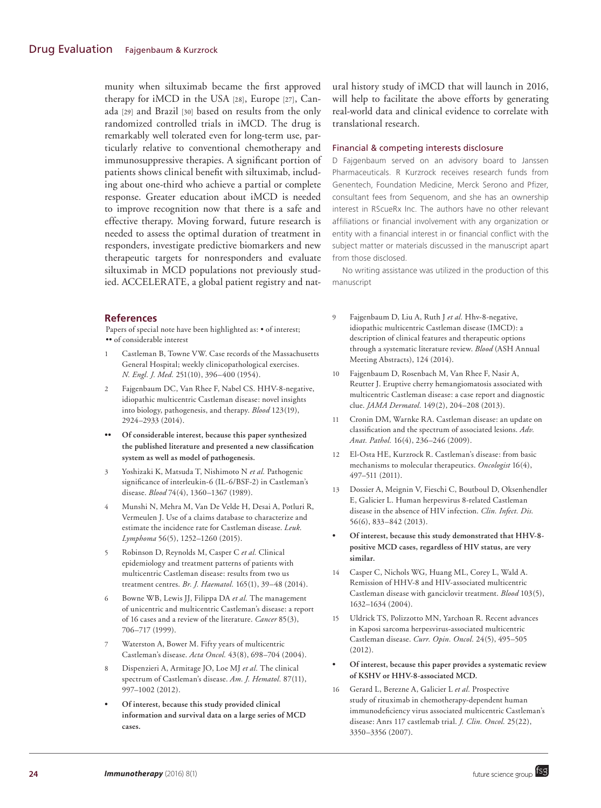munity when siltuximab became the first approved therapy for iMCD in the USA [28], Europe [27], Canada [29] and Brazil [30] based on results from the only randomized controlled trials in iMCD. The drug is remarkably well tolerated even for long-term use, particularly relative to conventional chemotherapy and immunosuppressive therapies. A significant portion of patients shows clinical benefit with siltuximab, including about one-third who achieve a partial or complete response. Greater education about iMCD is needed to improve recognition now that there is a safe and effective therapy. Moving forward, future research is needed to assess the optimal duration of treatment in responders, investigate predictive biomarkers and new therapeutic targets for nonresponders and evaluate siltuximab in MCD populations not previously studied. ACCELERATE, a global patient registry and nat-

## **References**

Papers of special note have been highlighted as: • of interest; •• of considerable interest

- 1 Castleman B, Towne VW. Case records of the Massachusetts General Hospital; weekly clinicopathological exercises. *N. Engl. J. Med.* 251(10), 396–400 (1954).
- 2 Fajgenbaum DC, Van Rhee F, Nabel CS. HHV-8-negative, idiopathic multicentric Castleman disease: novel insights into biology, pathogenesis, and therapy. *Blood* 123(19), 2924–2933 (2014).
- **•• Of considerable interest, because this paper synthesized the published literature and presented a new classification system as well as model of pathogenesis.**
- 3 Yoshizaki K, Matsuda T, Nishimoto N *et al.* Pathogenic significance of interleukin-6 (IL-6/BSF-2) in Castleman's disease. *Blood* 74(4), 1360–1367 (1989).
- 4 Munshi N, Mehra M, Van De Velde H, Desai A, Potluri R, Vermeulen J. Use of a claims database to characterize and estimate the incidence rate for Castleman disease. *Leuk. Lymphoma* 56(5), 1252–1260 (2015).
- 5 Robinson D, Reynolds M, Casper C *et al.* Clinical epidemiology and treatment patterns of patients with multicentric Castleman disease: results from two us treatment centres. *Br. J. Haematol.* 165(1), 39–48 (2014).
- 6 Bowne WB, Lewis JJ, Filippa DA *et al.* The management of unicentric and multicentric Castleman's disease: a report of 16 cases and a review of the literature. *Cancer* 85(3), 706–717 (1999).
- Waterston A, Bower M. Fifty years of multicentric Castleman's disease. *Acta Oncol.* 43(8), 698–704 (2004).
- 8 Dispenzieri A, Armitage JO, Loe MJ *et al.* The clinical spectrum of Castleman's disease. *Am. J. Hematol.* 87(11), 997–1002 (2012).
- **• Of interest, because this study provided clinical information and survival data on a large series of MCD cases.**

ural history study of iMCD that will launch in 2016, will help to facilitate the above efforts by generating real-world data and clinical evidence to correlate with translational research.

#### Financial & competing interests disclosure

D Fajgenbaum served on an advisory board to Janssen Pharmaceuticals. R Kurzrock receives research funds from Genentech, Foundation Medicine, Merck Serono and Pfizer, consultant fees from Sequenom, and she has an ownership interest in RScueRx Inc. The authors have no other relevant affiliations or financial involvement with any organization or entity with a financial interest in or financial conflict with the subject matter or materials discussed in the manuscript apart from those disclosed.

No writing assistance was utilized in the production of this manuscript

- 9 Fajgenbaum D, Liu A, Ruth J *et al.* Hhv-8-negative, idiopathic multicentric Castleman disease (IMCD): a description of clinical features and therapeutic options through a systematic literature review. *Blood* (ASH Annual Meeting Abstracts), 124 (2014).
- 10 Fajgenbaum D, Rosenbach M, Van Rhee F, Nasir A, Reutter J. Eruptive cherry hemangiomatosis associated with multicentric Castleman disease: a case report and diagnostic clue. *JAMA Dermatol.* 149(2), 204–208 (2013).
- 11 Cronin DM, Warnke RA. Castleman disease: an update on classification and the spectrum of associated lesions. *Adv. Anat. Pathol.* 16(4), 236–246 (2009).
- 12 El-Osta HE, Kurzrock R. Castleman's disease: from basic mechanisms to molecular therapeutics. *Oncologist* 16(4), 497–511 (2011).
- 13 Dossier A, Meignin V, Fieschi C, Boutboul D, Oksenhendler E, Galicier L. Human herpesvirus 8-related Castleman disease in the absence of HIV infection. *Clin. Infect. Dis.* 56(6), 833–842 (2013).
- **• Of interest, because this study demonstrated that HHV-8 positive MCD cases, regardless of HIV status, are very similar.**
- 14 Casper C, Nichols WG, Huang ML, Corey L, Wald A. Remission of HHV-8 and HIV-associated multicentric Castleman disease with ganciclovir treatment. *Blood* 103(5), 1632–1634 (2004).
- 15 Uldrick TS, Polizzotto MN, Yarchoan R. Recent advances in Kaposi sarcoma herpesvirus-associated multicentric Castleman disease. *Curr. Opin. Oncol.* 24(5), 495–505 (2012).
- **• Of interest, because this paper provides a systematic review of KSHV or HHV-8-associated MCD.**
- 16 Gerard L, Berezne A, Galicier L *et al.* Prospective study of rituximab in chemotherapy-dependent human immunodeficiency virus associated multicentric Castleman's disease: Anrs 117 castlemab trial. *J. Clin. Oncol.* 25(22), 3350–3356 (2007).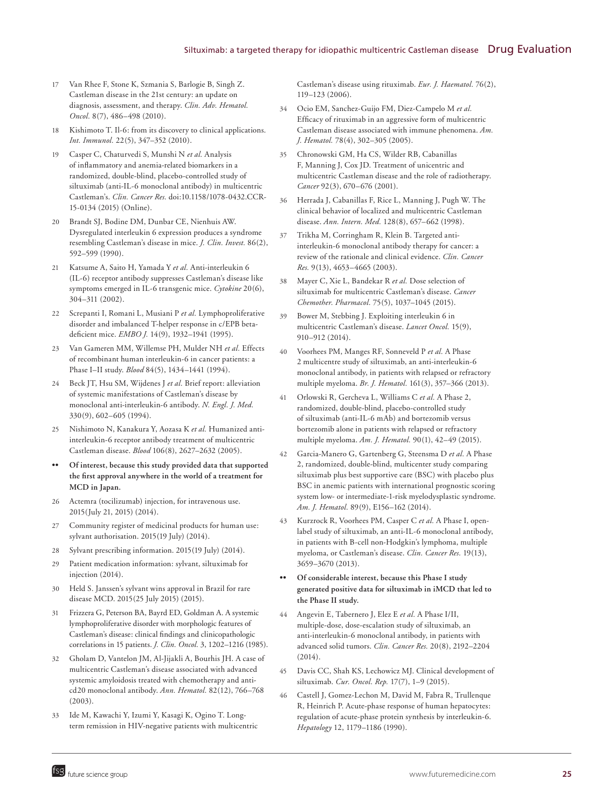- 17 Van Rhee F, Stone K, Szmania S, Barlogie B, Singh Z. Castleman disease in the 21st century: an update on diagnosis, assessment, and therapy. *Clin. Adv. Hematol. Oncol.* 8(7), 486–498 (2010).
- 18 Kishimoto T. Il-6: from its discovery to clinical applications. *Int. Immunol.* 22(5), 347–352 (2010).
- 19 Casper C, Chaturvedi S, Munshi N *et al.* Analysis of inflammatory and anemia-related biomarkers in a randomized, double-blind, placebo-controlled study of siltuximab (anti-IL-6 monoclonal antibody) in multicentric Castleman's. *Clin. Cancer Res.* doi:10.1158/1078-0432.CCR-15-0134 (2015) (Online).
- 20 Brandt SJ, Bodine DM, Dunbar CE, Nienhuis AW. Dysregulated interleukin 6 expression produces a syndrome resembling Castleman's disease in mice. *J. Clin. Invest.* 86(2), 592–599 (1990).
- 21 Katsume A, Saito H, Yamada Y *et al.* Anti-interleukin 6 (IL-6) receptor antibody suppresses Castleman's disease like symptoms emerged in IL-6 transgenic mice. *Cytokine* 20(6), 304–311 (2002).
- 22 Screpanti I, Romani L, Musiani P *et al.* Lymphoproliferative disorder and imbalanced T-helper response in c/EPB betadeficient mice. *EMBO J.* 14(9), 1932–1941 (1995).
- 23 Van Gameren MM, Willemse PH, Mulder NH *et al.* Effects of recombinant human interleukin-6 in cancer patients: a Phase I–II study. *Blood* 84(5), 1434–1441 (1994).
- 24 Beck JT, Hsu SM, Wijdenes J *et al.* Brief report: alleviation of systemic manifestations of Castleman's disease by monoclonal anti-interleukin-6 antibody. *N. Engl. J. Med.* 330(9), 602–605 (1994).
- 25 Nishimoto N, Kanakura Y, Aozasa K *et al.* Humanized antiinterleukin-6 receptor antibody treatment of multicentric Castleman disease. *Blood* 106(8), 2627–2632 (2005).
- **•• Of interest, because this study provided data that supported the first approval anywhere in the world of a treatment for MCD in Japan.**
- 26 Actemra (tocilizumab) injection, for intravenous use. 2015(July 21, 2015) (2014).
- 27 Community register of medicinal products for human use: sylvant authorisation. 2015(19 July) (2014).
- 28 Sylvant prescribing information. 2015(19 July) (2014).
- 29 Patient medication information: sylvant, siltuximab for injection (2014).
- 30 Held S. Janssen's sylvant wins approval in Brazil for rare disease MCD. 2015(25 July 2015) (2015).
- 31 Frizzera G, Peterson BA, Bayrd ED, Goldman A. A systemic lymphoproliferative disorder with morphologic features of Castleman's disease: clinical findings and clinicopathologic correlations in 15 patients. *J. Clin. Oncol.* 3, 1202–1216 (1985).
- 32 Gholam D, Vantelon JM, Al-Jijakli A, Bourhis JH. A case of multicentric Castleman's disease associated with advanced systemic amyloidosis treated with chemotherapy and anticd20 monoclonal antibody. *Ann. Hematol.* 82(12), 766–768 (2003).
- 33 Ide M, Kawachi Y, Izumi Y, Kasagi K, Ogino T. Longterm remission in HIV-negative patients with multicentric

Castleman's disease using rituximab. *Eur. J. Haematol.* 76(2), 119–123 (2006).

- 34 Ocio EM, Sanchez-Guijo FM, Diez-Campelo M *et al.* Efficacy of rituximab in an aggressive form of multicentric Castleman disease associated with immune phenomena. *Am. J. Hematol.* 78(4), 302–305 (2005).
- 35 Chronowski GM, Ha CS, Wilder RB, Cabanillas F, Manning J, Cox JD. Treatment of unicentric and multicentric Castleman disease and the role of radiotherapy. *Cancer* 92(3), 670–676 (2001).
- 36 Herrada J, Cabanillas F, Rice L, Manning J, Pugh W. The clinical behavior of localized and multicentric Castleman disease. *Ann. Intern. Med.* 128(8), 657–662 (1998).
- 37 Trikha M, Corringham R, Klein B. Targeted antiinterleukin-6 monoclonal antibody therapy for cancer: a review of the rationale and clinical evidence. *Clin. Cancer Res.* 9(13), 4653–4665 (2003).
- 38 Mayer C, Xie L, Bandekar R *et al.* Dose selection of siltuximab for multicentric Castleman's disease. *Cancer Chemother. Pharmacol.* 75(5), 1037–1045 (2015).
- 39 Bower M, Stebbing J. Exploiting interleukin 6 in multicentric Castleman's disease. *Lancet Oncol.* 15(9), 910–912 (2014).
- 40 Voorhees PM, Manges RF, Sonneveld P *et al.* A Phase 2 multicentre study of siltuximab, an anti-interleukin-6 monoclonal antibody, in patients with relapsed or refractory multiple myeloma. *Br. J. Hematol.* 161(3), 357–366 (2013).
- 41 Orlowski R, Gercheva L, Williams C *et al.* A Phase 2, randomized, double-blind, placebo-controlled study of siltuximab (anti-IL-6 mAb) and bortezomib versus bortezomib alone in patients with relapsed or refractory multiple myeloma. *Am. J. Hematol.* 90(1), 42–49 (2015).
- 42 Garcia-Manero G, Gartenberg G, Steensma D *et al.* A Phase 2, randomized, double-blind, multicenter study comparing siltuximab plus best supportive care (BSC) with placebo plus BSC in anemic patients with international prognostic scoring system low- or intermediate-1-risk myelodysplastic syndrome. *Am. J. Hematol.* 89(9), E156–162 (2014).
- 43 Kurzrock R, Voorhees PM, Casper C *et al.* A Phase I, openlabel study of siltuximab, an anti-IL-6 monoclonal antibody, in patients with B-cell non-Hodgkin's lymphoma, multiple myeloma, or Castleman's disease. *Clin. Cancer Res.* 19(13), 3659–3670 (2013).
- **•• Of considerable interest, because this Phase I study generated positive data for siltuximab in iMCD that led to the Phase II study.**
- 44 Angevin E, Tabernero J, Elez E *et al.* A Phase I/II, multiple-dose, dose-escalation study of siltuximab, an anti-interleukin-6 monoclonal antibody, in patients with advanced solid tumors. *Clin. Cancer Res.* 20(8), 2192–2204  $(2014)$ .
- 45 Davis CC, Shah KS, Lechowicz MJ. Clinical development of siltuximab. *Cur. Oncol. Rep.* 17(7), 1–9 (2015).
- 46 Castell J, Gomez-Lechon M, David M, Fabra R, Trullenque R, Heinrich P. Acute-phase response of human hepatocytes: regulation of acute-phase protein synthesis by interleukin-6. *Hepatology* 12, 1179–1186 (1990).